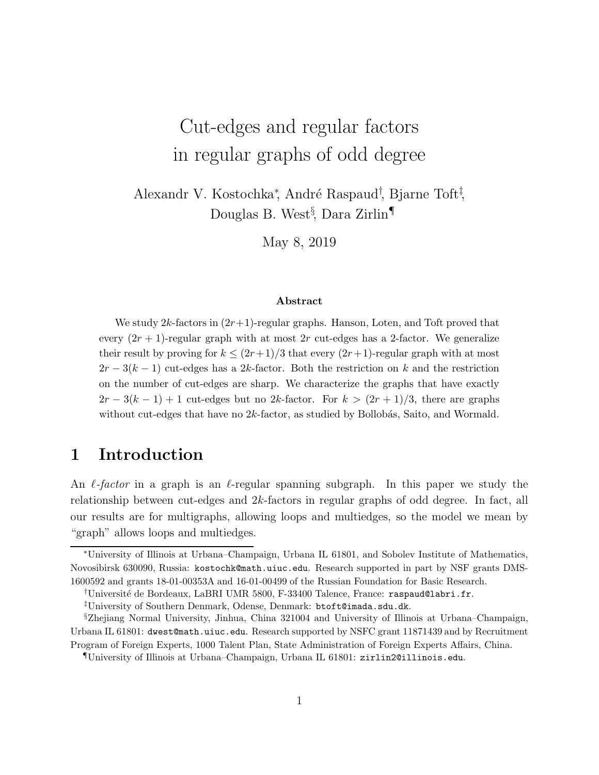# Cut-edges and regular factors in regular graphs of odd degree

Alexandr V. Kostochka<sup>\*</sup>, André Raspaud<sup>†</sup>, Bjarne Toft<sup>‡</sup>, Douglas B. West§ , Dara Zirlin¶

May 8, 2019

#### Abstract

We study  $2k$ -factors in  $(2r+1)$ -regular graphs. Hanson, Loten, and Toft proved that every  $(2r + 1)$ -regular graph with at most  $2r$  cut-edges has a 2-factor. We generalize their result by proving for  $k \leq (2r+1)/3$  that every  $(2r+1)$ -regular graph with at most  $2r-3(k-1)$  cut-edges has a 2k-factor. Both the restriction on k and the restriction on the number of cut-edges are sharp. We characterize the graphs that have exactly  $2r-3(k-1)+1$  cut-edges but no 2k-factor. For  $k>(2r+1)/3$ , there are graphs without cut-edges that have no  $2k$ -factor, as studied by Bollobás, Saito, and Wormald.

### 1 Introduction

An  $\ell$ -factor in a graph is an  $\ell$ -regular spanning subgraph. In this paper we study the relationship between cut-edges and 2k-factors in regular graphs of odd degree. In fact, all our results are for multigraphs, allowing loops and multiedges, so the model we mean by "graph" allows loops and multiedges.

<sup>∗</sup>University of Illinois at Urbana–Champaign, Urbana IL 61801, and Sobolev Institute of Mathematics, Novosibirsk 630090, Russia: kostochk@math.uiuc.edu. Research supported in part by NSF grants DMS-1600592 and grants 18-01-00353A and 16-01-00499 of the Russian Foundation for Basic Research.

<sup>&</sup>lt;sup>†</sup>Université de Bordeaux, LaBRI UMR 5800, F-33400 Talence, France: raspaud@labri.fr.

<sup>‡</sup>University of Southern Denmark, Odense, Denmark: btoft@imada.sdu.dk.

<sup>§</sup>Zhejiang Normal University, Jinhua, China 321004 and University of Illinois at Urbana–Champaign, Urbana IL 61801: dwest@math.uiuc.edu. Research supported by NSFC grant 11871439 and by Recruitment

Program of Foreign Experts, 1000 Talent Plan, State Administration of Foreign Experts Affairs, China.

<sup>¶</sup>University of Illinois at Urbana–Champaign, Urbana IL 61801: zirlin2@illinois.edu.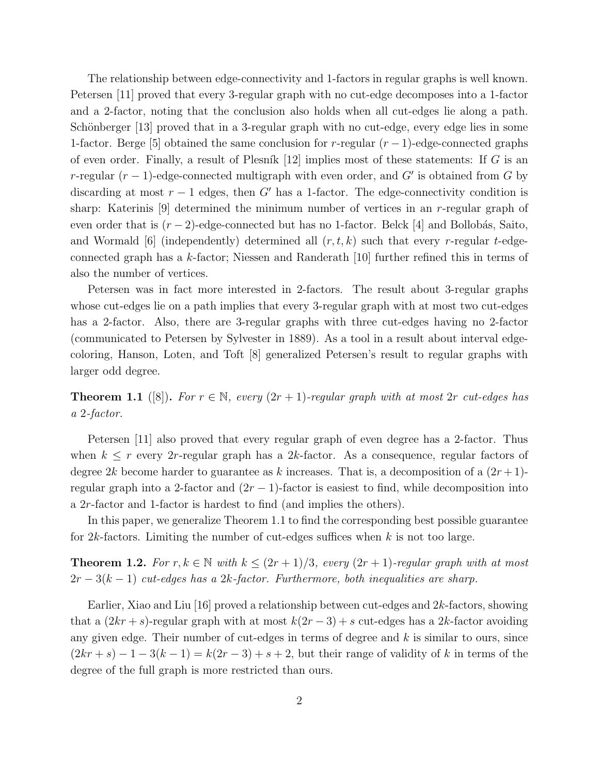The relationship between edge-connectivity and 1-factors in regular graphs is well known. Petersen [11] proved that every 3-regular graph with no cut-edge decomposes into a 1-factor and a 2-factor, noting that the conclusion also holds when all cut-edges lie along a path. Schönberger [13] proved that in a 3-regular graph with no cut-edge, every edge lies in some 1-factor. Berge [5] obtained the same conclusion for r-regular  $(r-1)$ -edge-connected graphs of even order. Finally, a result of Plesník  $[12]$  implies most of these statements: If G is an r-regular  $(r-1)$ -edge-connected multigraph with even order, and G' is obtained from G by discarding at most  $r - 1$  edges, then G' has a 1-factor. The edge-connectivity condition is sharp: Katerinis  $[9]$  determined the minimum number of vertices in an r-regular graph of even order that is  $(r-2)$ -edge-connected but has no 1-factor. Belck [4] and Bollobás, Saito, and Wormald [6] (independently) determined all  $(r, t, k)$  such that every r-regular t-edgeconnected graph has a k-factor; Niessen and Randerath [10] further refined this in terms of also the number of vertices.

Petersen was in fact more interested in 2-factors. The result about 3-regular graphs whose cut-edges lie on a path implies that every 3-regular graph with at most two cut-edges has a 2-factor. Also, there are 3-regular graphs with three cut-edges having no 2-factor (communicated to Petersen by Sylvester in 1889). As a tool in a result about interval edgecoloring, Hanson, Loten, and Toft [8] generalized Petersen's result to regular graphs with larger odd degree.

**Theorem 1.1** ([8]). For  $r \in \mathbb{N}$ , every  $(2r + 1)$ -regular graph with at most 2r cut-edges has a 2-factor.

Petersen [11] also proved that every regular graph of even degree has a 2-factor. Thus when  $k \leq r$  every 2r-regular graph has a 2k-factor. As a consequence, regular factors of degree 2k become harder to guarantee as k increases. That is, a decomposition of a  $(2r+1)$ regular graph into a 2-factor and  $(2r - 1)$ -factor is easiest to find, while decomposition into a 2r-factor and 1-factor is hardest to find (and implies the others).

In this paper, we generalize Theorem 1.1 to find the corresponding best possible guarantee for  $2k$ -factors. Limiting the number of cut-edges suffices when k is not too large.

**Theorem 1.2.** For  $r, k \in \mathbb{N}$  with  $k \leq (2r+1)/3$ , every  $(2r+1)$ -regular graph with at most  $2r-3(k-1)$  cut-edges has a 2k-factor. Furthermore, both inequalities are sharp.

Earlier, Xiao and Liu  $|16|$  proved a relationship between cut-edges and  $2k$ -factors, showing that a  $(2kr + s)$ -regular graph with at most  $k(2r - 3) + s$  cut-edges has a 2k-factor avoiding any given edge. Their number of cut-edges in terms of degree and  $k$  is similar to ours, since  $(2kr + s) - 1 - 3(k - 1) = k(2r - 3) + s + 2$ , but their range of validity of k in terms of the degree of the full graph is more restricted than ours.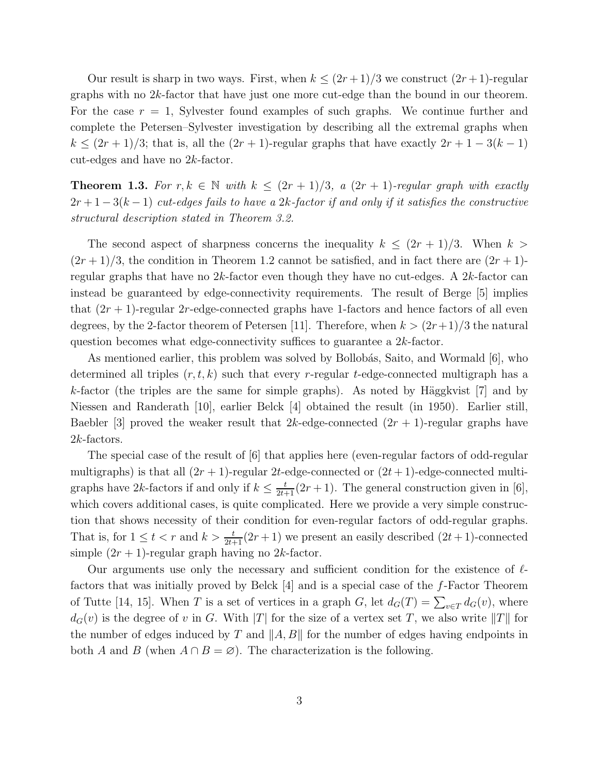Our result is sharp in two ways. First, when  $k \leq (2r+1)/3$  we construct  $(2r+1)$ -regular graphs with no  $2k$ -factor that have just one more cut-edge than the bound in our theorem. For the case  $r = 1$ , Sylvester found examples of such graphs. We continue further and complete the Petersen–Sylvester investigation by describing all the extremal graphs when  $k \leq (2r+1)/3$ ; that is, all the  $(2r+1)$ -regular graphs that have exactly  $2r+1-3(k-1)$ cut-edges and have no 2k-factor.

**Theorem 1.3.** For  $r, k \in \mathbb{N}$  with  $k \leq (2r+1)/3$ , a  $(2r+1)$ -regular graph with exactly  $2r+1-3(k-1)$  cut-edges fails to have a 2k-factor if and only if it satisfies the constructive structural description stated in Theorem 3.2.

The second aspect of sharpness concerns the inequality  $k \leq (2r+1)/3$ . When  $k >$  $(2r+1)/3$ , the condition in Theorem 1.2 cannot be satisfied, and in fact there are  $(2r+1)$ regular graphs that have no  $2k$ -factor even though they have no cut-edges. A  $2k$ -factor can instead be guaranteed by edge-connectivity requirements. The result of Berge [5] implies that  $(2r + 1)$ -regular 2r-edge-connected graphs have 1-factors and hence factors of all even degrees, by the 2-factor theorem of Petersen [11]. Therefore, when  $k > (2r+1)/3$  the natural question becomes what edge-connectivity suffices to guarantee a 2k-factor.

As mentioned earlier, this problem was solved by Bollobás, Saito, and Wormald [6], who determined all triples  $(r, t, k)$  such that every r-regular t-edge-connected multigraph has a k-factor (the triples are the same for simple graphs). As noted by Häggkvist  $[7]$  and by Niessen and Randerath [10], earlier Belck [4] obtained the result (in 1950). Earlier still, Baebler [3] proved the weaker result that  $2k$ -edge-connected  $(2r + 1)$ -regular graphs have 2k-factors.

The special case of the result of [6] that applies here (even-regular factors of odd-regular multigraphs) is that all  $(2r + 1)$ -regular 2t-edge-connected or  $(2t + 1)$ -edge-connected multigraphs have 2k-factors if and only if  $k \leq \frac{t}{2t+1}(2r+1)$ . The general construction given in [6], which covers additional cases, is quite complicated. Here we provide a very simple construction that shows necessity of their condition for even-regular factors of odd-regular graphs. That is, for  $1 \leq t < r$  and  $k > \frac{t}{2t+1}(2r+1)$  we present an easily described  $(2t+1)$ -connected simple  $(2r + 1)$ -regular graph having no 2k-factor.

Our arguments use only the necessary and sufficient condition for the existence of  $\ell$ factors that was initially proved by Belck [4] and is a special case of the f-Factor Theorem of Tutte [14, 15]. When T is a set of vertices in a graph G, let  $d_G(T) = \sum_{v \in T} d_G(v)$ , where  $d_G(v)$  is the degree of v in G. With |T| for the size of a vertex set T, we also write ||T|| for the number of edges induced by T and  $||A, B||$  for the number of edges having endpoints in both A and B (when  $A \cap B = \emptyset$ ). The characterization is the following.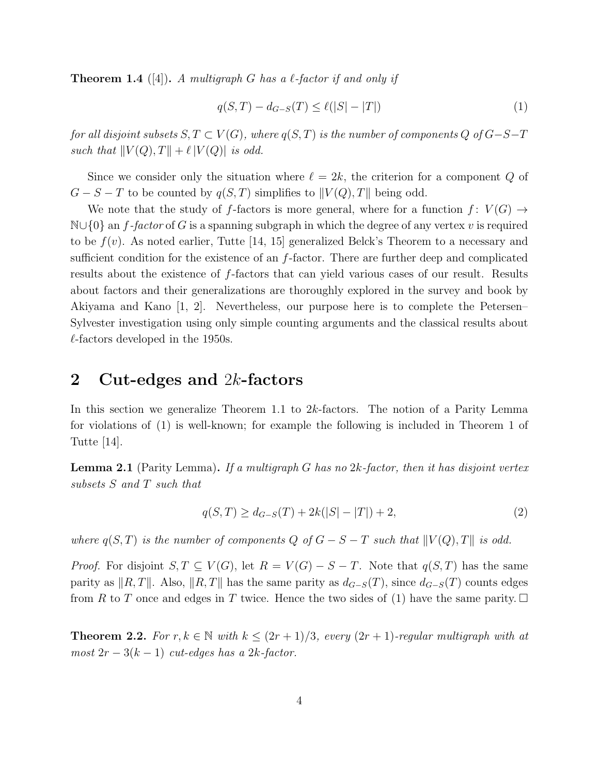**Theorem 1.4** ([4]). A multigraph G has a  $\ell$ -factor if and only if

$$
q(S,T) - d_{G-S}(T) \le \ell(|S| - |T|)
$$
\n(1)

for all disjoint subsets  $S, T \subset V(G)$ , where  $q(S,T)$  is the number of components Q of  $G-S-T$ such that  $||V(Q), T|| + \ell |V(Q)|$  is odd.

Since we consider only the situation where  $\ell = 2k$ , the criterion for a component Q of  $G - S - T$  to be counted by  $q(S,T)$  simplifies to  $||V(Q), T||$  being odd.

We note that the study of f-factors is more general, where for a function  $f: V(G) \rightarrow$  $\mathbb{N}\cup\{0\}$  an f-factor of G is a spanning subgraph in which the degree of any vertex v is required to be  $f(v)$ . As noted earlier, Tutte [14, 15] generalized Belck's Theorem to a necessary and sufficient condition for the existence of an  $f$ -factor. There are further deep and complicated results about the existence of f-factors that can yield various cases of our result. Results about factors and their generalizations are thoroughly explored in the survey and book by Akiyama and Kano [1, 2]. Nevertheless, our purpose here is to complete the Petersen– Sylvester investigation using only simple counting arguments and the classical results about  $\ell$ -factors developed in the 1950s.

### 2 Cut-edges and  $2k$ -factors

In this section we generalize Theorem 1.1 to 2k-factors. The notion of a Parity Lemma for violations of (1) is well-known; for example the following is included in Theorem 1 of Tutte [14].

**Lemma 2.1** (Parity Lemma). If a multigraph G has no  $2k$ -factor, then it has disjoint vertex subsets S and T such that

$$
q(S,T) \ge d_{G-S}(T) + 2k(|S| - |T|) + 2,\tag{2}
$$

where  $q(S,T)$  is the number of components Q of  $G - S - T$  such that  $||V(Q), T||$  is odd.

*Proof.* For disjoint  $S, T \subseteq V(G)$ , let  $R = V(G) - S - T$ . Note that  $q(S,T)$  has the same parity as  $||R, T||$ . Also,  $||R, T||$  has the same parity as  $d_{G-S}(T)$ , since  $d_{G-S}(T)$  counts edges from R to T once and edges in T twice. Hence the two sides of (1) have the same parity.  $\Box$ 

**Theorem 2.2.** For  $r, k \in \mathbb{N}$  with  $k \leq (2r+1)/3$ , every  $(2r+1)$ -regular multigraph with at  $most 2r - 3(k - 1)$  cut-edges has a 2k-factor.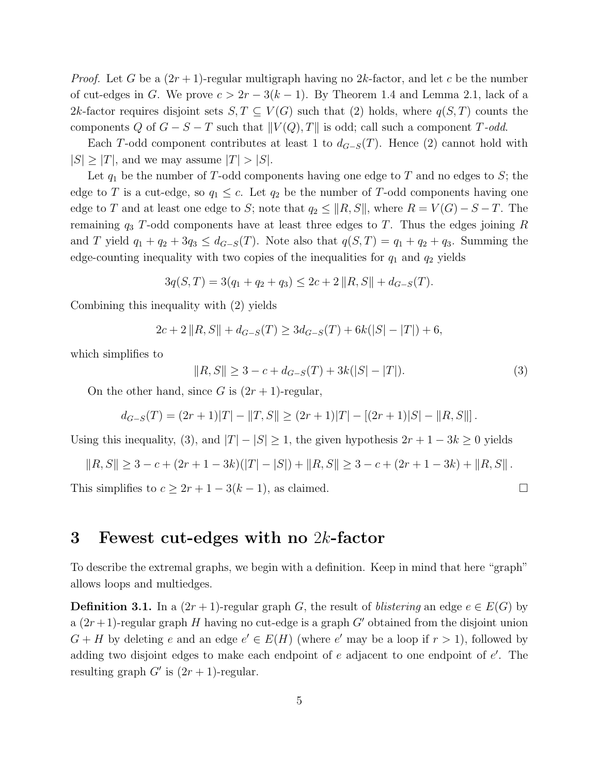*Proof.* Let G be a  $(2r + 1)$ -regular multigraph having no 2k-factor, and let c be the number of cut-edges in G. We prove  $c > 2r - 3(k-1)$ . By Theorem 1.4 and Lemma 2.1, lack of a 2k-factor requires disjoint sets  $S, T \subseteq V(G)$  such that (2) holds, where  $q(S,T)$  counts the components Q of  $G - S - T$  such that  $||V(Q), T||$  is odd; call such a component T-odd.

Each T-odd component contributes at least 1 to  $d_{G-S}(T)$ . Hence (2) cannot hold with  $|S| \geq |T|$ , and we may assume  $|T| > |S|$ .

Let  $q_1$  be the number of T-odd components having one edge to T and no edges to S; the edge to T is a cut-edge, so  $q_1 \leq c$ . Let  $q_2$  be the number of T-odd components having one edge to T and at least one edge to S; note that  $q_2 \leq ||R, S||$ , where  $R = V(G) - S - T$ . The remaining  $q_3$  T-odd components have at least three edges to T. Thus the edges joining R and T yield  $q_1 + q_2 + 3q_3 \leq d_{G-S}(T)$ . Note also that  $q(S,T) = q_1 + q_2 + q_3$ . Summing the edge-counting inequality with two copies of the inequalities for  $q_1$  and  $q_2$  yields

$$
3q(S,T) = 3(q_1 + q_2 + q_3) \le 2c + 2 ||R, S|| + d_{G-S}(T).
$$

Combining this inequality with (2) yields

$$
2c + 2 ||R, S|| + d_{G-S}(T) \ge 3d_{G-S}(T) + 6k(|S| - |T|) + 6,
$$

which simplifies to

$$
||R, S|| \ge 3 - c + d_{G-S}(T) + 3k(|S| - |T|). \tag{3}
$$

On the other hand, since G is  $(2r + 1)$ -regular,

$$
d_{G-S}(T) = (2r+1)|T| - ||T, S|| \ge (2r+1)|T| - [(2r+1)|S| - ||R, S||].
$$

Using this inequality, (3), and  $|T| - |S| \ge 1$ , the given hypothesis  $2r + 1 - 3k \ge 0$  yields

$$
||R, S|| \geq 3 - c + (2r + 1 - 3k)(|T| - |S|) + ||R, S|| \geq 3 - c + (2r + 1 - 3k) + ||R, S||.
$$

This simplifies to  $c \geq 2r + 1 - 3(k - 1)$ , as claimed.

#### 3 Fewest cut-edges with no 2k-factor

To describe the extremal graphs, we begin with a definition. Keep in mind that here "graph" allows loops and multiedges.

**Definition 3.1.** In a  $(2r + 1)$ -regular graph G, the result of *blistering* an edge  $e \in E(G)$  by a  $(2r+1)$ -regular graph H having no cut-edge is a graph G' obtained from the disjoint union  $G + H$  by deleting e and an edge  $e' \in E(H)$  (where e' may be a loop if  $r > 1$ ), followed by adding two disjoint edges to make each endpoint of  $e$  adjacent to one endpoint of  $e'$ . The resulting graph  $G'$  is  $(2r + 1)$ -regular.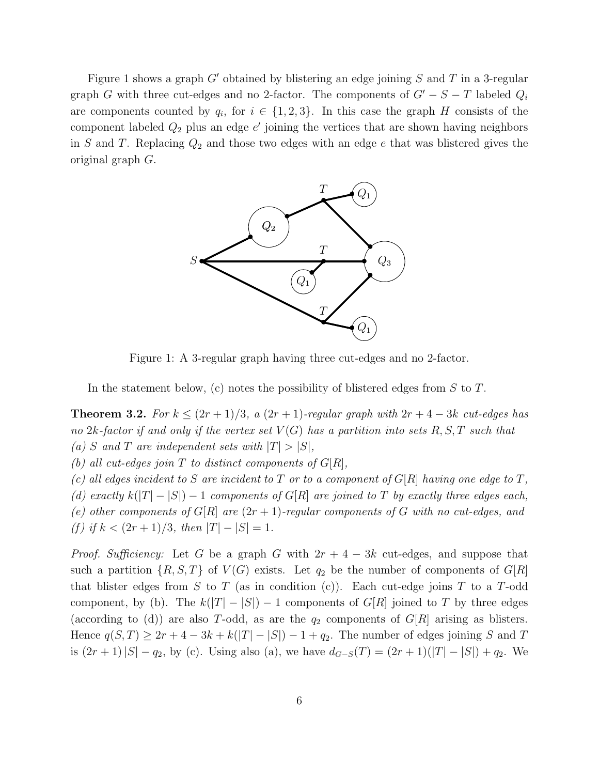Figure 1 shows a graph  $G'$  obtained by blistering an edge joining S and T in a 3-regular graph G with three cut-edges and no 2-factor. The components of  $G' - S - T$  labeled  $Q_i$ are components counted by  $q_i$ , for  $i \in \{1,2,3\}$ . In this case the graph H consists of the component labeled  $Q_2$  plus an edge  $e'$  joining the vertices that are shown having neighbors in S and T. Replacing  $Q_2$  and those two edges with an edge e that was blistered gives the original graph G.



Figure 1: A 3-regular graph having three cut-edges and no 2-factor.

In the statement below, (c) notes the possibility of blistered edges from  $S$  to  $T$ .

Theorem 3.2. For  $k \leq (2r+1)/3$ , a  $(2r+1)$ -regular graph with  $2r+4-3k$  cut-edges has no 2k-factor if and only if the vertex set  $V(G)$  has a partition into sets R, S, T such that (a) S and T are independent sets with  $|T| > |S|$ ,

(b) all cut-edges join T to distinct components of  $G[R]$ ,

(c) all edges incident to S are incident to T or to a component of  $G[R]$  having one edge to T, (d) exactly  $k(|T| - |S|) - 1$  components of  $G[R]$  are joined to T by exactly three edges each, (e) other components of  $G[R]$  are  $(2r + 1)$ -regular components of G with no cut-edges, and (f) if  $k < (2r+1)/3$ , then  $|T| - |S| = 1$ .

*Proof. Sufficiency:* Let G be a graph G with  $2r + 4 - 3k$  cut-edges, and suppose that such a partition  $\{R, S, T\}$  of  $V(G)$  exists. Let  $q_2$  be the number of components of  $G[R]$ that blister edges from S to T (as in condition (c)). Each cut-edge joins T to a T-odd component, by (b). The  $k(|T|-|S|)-1$  components of  $G[R]$  joined to T by three edges (according to (d)) are also T-odd, as are the  $q_2$  components of  $G[R]$  arising as blisters. Hence  $q(S,T) \geq 2r+4-3k+k(|T|-|S|)-1+q_2$ . The number of edges joining S and T is  $(2r + 1)|S| - q_2$ , by (c). Using also (a), we have  $d_{G-S}(T) = (2r + 1)(|T| - |S|) + q_2$ . We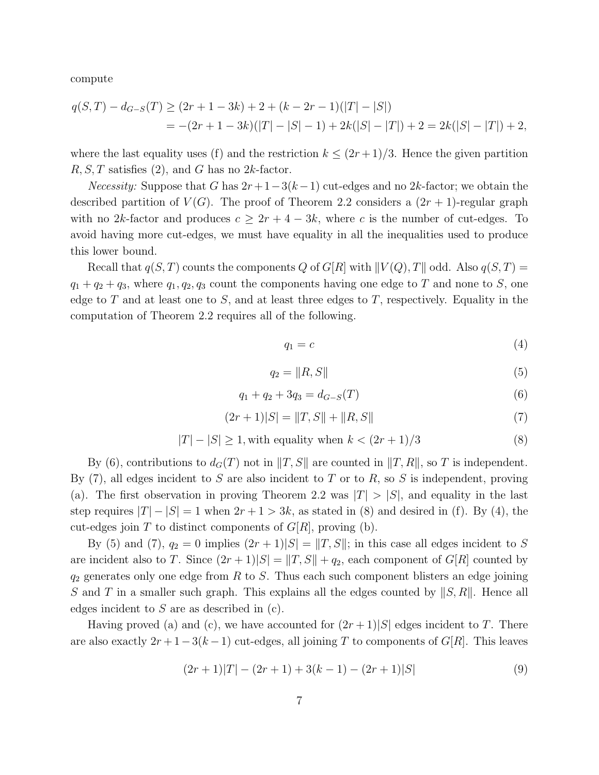compute

$$
q(S,T) - d_{G-S}(T) \ge (2r + 1 - 3k) + 2 + (k - 2r - 1)(|T| - |S|)
$$
  
= -(2r + 1 - 3k)(|T| - |S| - 1) + 2k(|S| - |T|) + 2 = 2k(|S| - |T|) + 2,

where the last equality uses (f) and the restriction  $k \leq (2r+1)/3$ . Hence the given partition  $R, S, T$  satisfies (2), and G has no 2k-factor.

*Necessity:* Suppose that G has  $2r+1-3(k-1)$  cut-edges and no 2k-factor; we obtain the described partition of  $V(G)$ . The proof of Theorem 2.2 considers a  $(2r + 1)$ -regular graph with no 2k-factor and produces  $c \geq 2r + 4 - 3k$ , where c is the number of cut-edges. To avoid having more cut-edges, we must have equality in all the inequalities used to produce this lower bound.

Recall that  $q(S, T)$  counts the components Q of  $G[R]$  with  $||V(Q), T||$  odd. Also  $q(S, T) =$  $q_1 + q_2 + q_3$ , where  $q_1, q_2, q_3$  count the components having one edge to T and none to S, one edge to T and at least one to S, and at least three edges to T, respectively. Equality in the computation of Theorem 2.2 requires all of the following.

$$
q_1 = c \tag{4}
$$

$$
q_2 = \|R, S\| \tag{5}
$$

$$
q_1 + q_2 + 3q_3 = d_{G-S}(T) \tag{6}
$$

$$
(2r+1)|S| = ||T, S|| + ||R, S|| \tag{7}
$$

$$
|T| - |S| \ge 1
$$
, with equality when  $k < (2r + 1)/3$  (8)

By (6), contributions to  $d_G(T)$  not in  $||T, S||$  are counted in  $||T, R||$ , so T is independent. By  $(7)$ , all edges incident to S are also incident to T or to R, so S is independent, proving (a). The first observation in proving Theorem 2.2 was  $|T| > |S|$ , and equality in the last step requires  $|T| - |S| = 1$  when  $2r + 1 > 3k$ , as stated in (8) and desired in (f). By (4), the cut-edges join T to distinct components of  $G[R]$ , proving (b).

By (5) and (7),  $q_2 = 0$  implies  $(2r + 1)|S| = ||T, S||$ ; in this case all edges incident to S are incident also to T. Since  $(2r+1)|S| = ||T, S|| + q_2$ , each component of  $G[R]$  counted by  $q_2$  generates only one edge from R to S. Thus each such component blisters an edge joining S and T in a smaller such graph. This explains all the edges counted by  $||S, R||$ . Hence all edges incident to  $S$  are as described in  $(c)$ .

Having proved (a) and (c), we have accounted for  $(2r+1)|S|$  edges incident to T. There are also exactly  $2r + 1 - 3(k - 1)$  cut-edges, all joining T to components of  $G[R]$ . This leaves

$$
(2r+1)|T| - (2r+1) + 3(k-1) - (2r+1)|S|
$$
\n(9)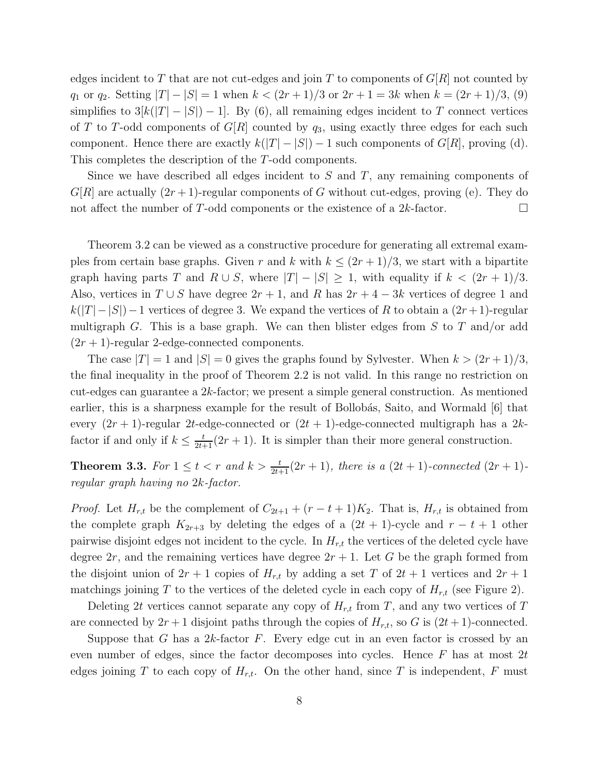edges incident to T that are not cut-edges and join T to components of  $G[R]$  not counted by  $q_1$  or  $q_2$ . Setting  $|T| - |S| = 1$  when  $k < (2r + 1)/3$  or  $2r + 1 = 3k$  when  $k = (2r + 1)/3$ , (9) simplifies to  $3[k(|T|-|S|)-1]$ . By (6), all remaining edges incident to T connect vertices of T to T-odd components of  $G[R]$  counted by  $q_3$ , using exactly three edges for each such component. Hence there are exactly  $k(|T| - |S|) - 1$  such components of  $G[R]$ , proving (d). This completes the description of the T-odd components.

Since we have described all edges incident to  $S$  and  $T$ , any remaining components of  $G[R]$  are actually  $(2r+1)$ -regular components of G without cut-edges, proving (e). They do not affect the number of T-odd components or the existence of a  $2k$ -factor.

Theorem 3.2 can be viewed as a constructive procedure for generating all extremal examples from certain base graphs. Given r and k with  $k \leq (2r+1)/3$ , we start with a bipartite graph having parts T and  $R \cup S$ , where  $|T| - |S| \geq 1$ , with equality if  $k < (2r + 1)/3$ . Also, vertices in  $T \cup S$  have degree  $2r + 1$ , and R has  $2r + 4 - 3k$  vertices of degree 1 and  $k(|T|-|S|)-1$  vertices of degree 3. We expand the vertices of R to obtain a  $(2r+1)$ -regular multigraph G. This is a base graph. We can then blister edges from S to T and/or add  $(2r + 1)$ -regular 2-edge-connected components.

The case  $|T| = 1$  and  $|S| = 0$  gives the graphs found by Sylvester. When  $k > (2r + 1)/3$ , the final inequality in the proof of Theorem 2.2 is not valid. In this range no restriction on cut-edges can guarantee a  $2k$ -factor; we present a simple general construction. As mentioned earlier, this is a sharpness example for the result of Bollobás, Saito, and Wormald  $|6|$  that every  $(2r + 1)$ -regular 2t-edge-connected or  $(2t + 1)$ -edge-connected multigraph has a 2kfactor if and only if  $k \leq \frac{t}{2t+1}(2r+1)$ . It is simpler than their more general construction.

**Theorem 3.3.** For  $1 \leq t < r$  and  $k > \frac{t}{2t+1}(2r+1)$ , there is a  $(2t+1)$ -connected  $(2r+1)$ regular graph having no 2k-factor.

*Proof.* Let  $H_{r,t}$  be the complement of  $C_{2t+1} + (r - t + 1)K_2$ . That is,  $H_{r,t}$  is obtained from the complete graph  $K_{2r+3}$  by deleting the edges of a  $(2t + 1)$ -cycle and  $r - t + 1$  other pairwise disjoint edges not incident to the cycle. In  $H_{r,t}$  the vertices of the deleted cycle have degree  $2r$ , and the remaining vertices have degree  $2r + 1$ . Let G be the graph formed from the disjoint union of  $2r + 1$  copies of  $H_{r,t}$  by adding a set T of  $2t + 1$  vertices and  $2r + 1$ matchings joining T to the vertices of the deleted cycle in each copy of  $H_{r,t}$  (see Figure 2).

Deleting 2t vertices cannot separate any copy of  $H_{r,t}$  from T, and any two vertices of T are connected by  $2r+1$  disjoint paths through the copies of  $H_{r,t}$ , so G is  $(2t+1)$ -connected.

Suppose that G has a 2k-factor F. Every edge cut in an even factor is crossed by an even number of edges, since the factor decomposes into cycles. Hence  $F$  has at most  $2t$ edges joining T to each copy of  $H_{r,t}$ . On the other hand, since T is independent, F must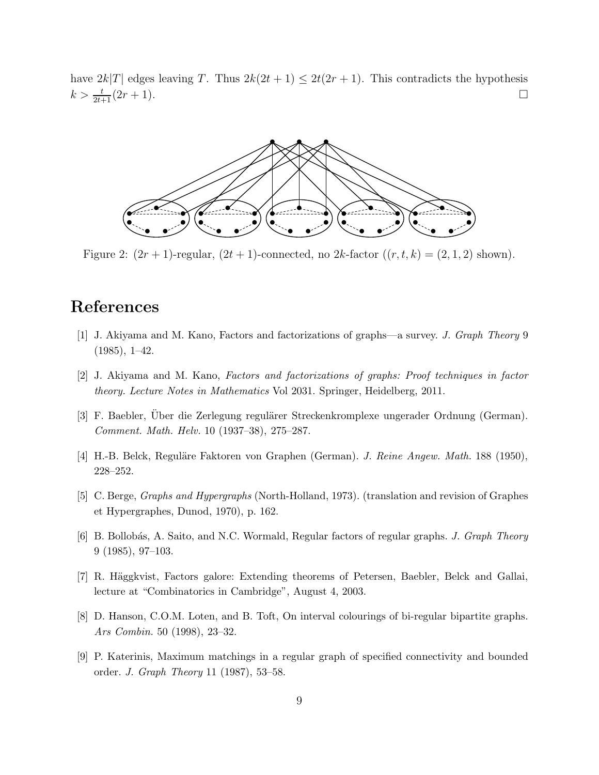have  $2k|T|$  edges leaving T. Thus  $2k(2t+1) \leq 2t(2r+1)$ . This contradicts the hypothesis  $k > \frac{t}{2t+1}(2r+1).$ 



Figure 2:  $(2r+1)$ -regular,  $(2t+1)$ -connected, no  $2k$ -factor  $((r, t, k) = (2, 1, 2)$  shown).

## References

- [1] J. Akiyama and M. Kano, Factors and factorizations of graphs—a survey. *J. Graph Theory* 9  $(1985), 1-42.$
- [2] J. Akiyama and M. Kano, *Factors and factorizations of graphs: Proof techniques in factor theory. Lecture Notes in Mathematics* Vol 2031. Springer, Heidelberg, 2011.
- [3] F. Baebler, Über die Zerlegung regulärer Streckenkromplexe ungerader Ordnung (German). *Comment. Math. Helv.* 10 (1937–38), 275–287.
- [4] H.-B. Belck, Reguläre Faktoren von Graphen (German). *J. Reine Angew. Math.* 188 (1950), 228–252.
- [5] C. Berge, *Graphs and Hypergraphs* (North-Holland, 1973). (translation and revision of Graphes et Hypergraphes, Dunod, 1970), p. 162.
- [6] B. Bollob´as, A. Saito, and N.C. Wormald, Regular factors of regular graphs. *J. Graph Theory* 9 (1985), 97–103.
- [7] R. Häggkvist, Factors galore: Extending theorems of Petersen, Baebler, Belck and Gallai, lecture at "Combinatorics in Cambridge", August 4, 2003.
- [8] D. Hanson, C.O.M. Loten, and B. Toft, On interval colourings of bi-regular bipartite graphs. *Ars Combin.* 50 (1998), 23–32.
- [9] P. Katerinis, Maximum matchings in a regular graph of specified connectivity and bounded order. *J. Graph Theory* 11 (1987), 53–58.